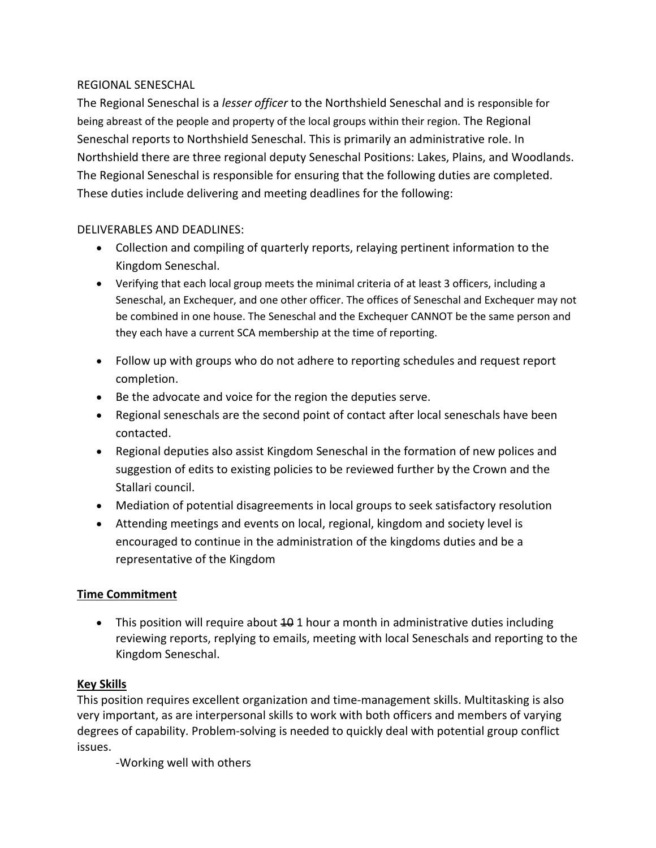#### REGIONAL SENESCHAL

The Regional Seneschal is a *lesser officer* to the Northshield Seneschal and is responsible for being abreast of the people and property of the local groups within their region. The Regional Seneschal reports to Northshield Seneschal. This is primarily an administrative role. In Northshield there are three regional deputy Seneschal Positions: Lakes, Plains, and Woodlands. The Regional Seneschal is responsible for ensuring that the following duties are completed. These duties include delivering and meeting deadlines for the following:

#### DELIVERABLES AND DEADLINES:

- Collection and compiling of quarterly reports, relaying pertinent information to the Kingdom Seneschal.
- Verifying that each local group meets the minimal criteria of at least 3 officers, including a Seneschal, an Exchequer, and one other officer. The offices of Seneschal and Exchequer may not be combined in one house. The Seneschal and the Exchequer CANNOT be the same person and they each have a current SCA membership at the time of reporting.
- Follow up with groups who do not adhere to reporting schedules and request report completion.
- Be the advocate and voice for the region the deputies serve.
- Regional seneschals are the second point of contact after local seneschals have been contacted.
- Regional deputies also assist Kingdom Seneschal in the formation of new polices and suggestion of edits to existing policies to be reviewed further by the Crown and the Stallari council.
- Mediation of potential disagreements in local groups to seek satisfactory resolution
- Attending meetings and events on local, regional, kingdom and society level is encouraged to continue in the administration of the kingdoms duties and be a representative of the Kingdom

## **Time Commitment**

• This position will require about  $401$  hour a month in administrative duties including reviewing reports, replying to emails, meeting with local Seneschals and reporting to the Kingdom Seneschal.

## **Key Skills**

This position requires excellent organization and time-management skills. Multitasking is also very important, as are interpersonal skills to work with both officers and members of varying degrees of capability. Problem-solving is needed to quickly deal with potential group conflict issues.

-Working well with others